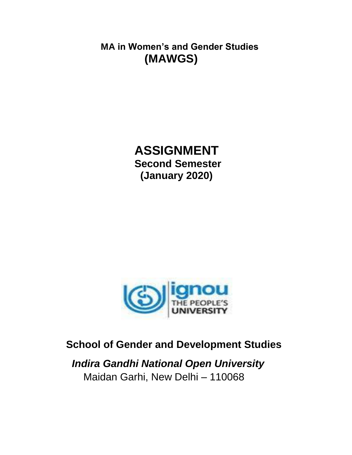**MA in Women's and Gender Studies (MAWGS)**

# **ASSIGNMENT Second Semester (January 2020)**



# **School of Gender and Development Studies**

 *Indira Gandhi National Open University* Maidan Garhi, New Delhi – 110068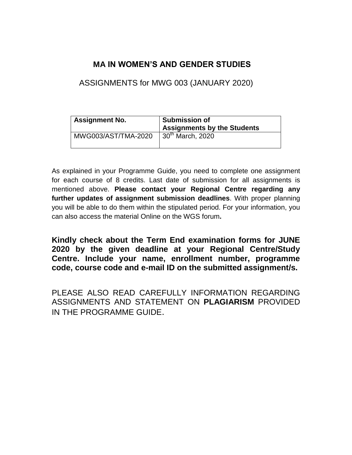## **MA IN WOMEN'S AND GENDER STUDIES**

ASSIGNMENTS for MWG 003 (JANUARY 2020)

| <b>Assignment No.</b> | <b>Submission of</b><br><b>Assignments by the Students</b> |
|-----------------------|------------------------------------------------------------|
| MWG003/AST/TMA-2020   | $30th$ March, 2020                                         |

As explained in your Programme Guide, you need to complete one assignment for each course of 8 credits. Last date of submission for all assignments is mentioned above. **Please contact your Regional Centre regarding any further updates of assignment submission deadlines**. With proper planning you will be able to do them within the stipulated period. For your information, you can also access the material Online on the WGS forum**.**

**Kindly check about the Term End examination forms for JUNE 2020 by the given deadline at your Regional Centre/Study Centre. Include your name, enrollment number, programme code, course code and e-mail ID on the submitted assignment/s.**

PLEASE ALSO READ CAREFULLY INFORMATION REGARDING ASSIGNMENTS AND STATEMENT ON **PLAGIARISM** PROVIDED IN THE PROGRAMME GUIDE.